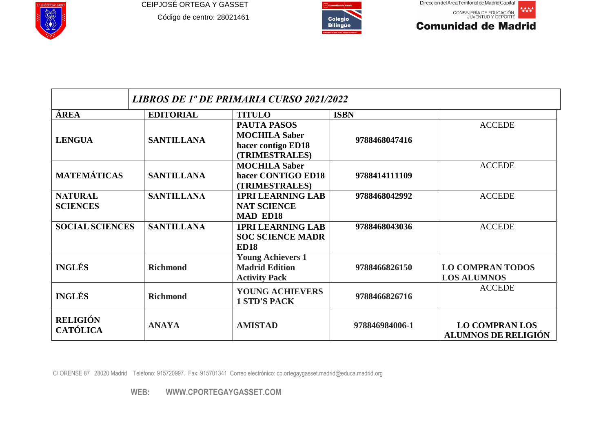





| LIBROS DE 1º DE PRIMARIA CURSO 2021/2022 |                   |                                                                                    |                |                                                     |  |  |
|------------------------------------------|-------------------|------------------------------------------------------------------------------------|----------------|-----------------------------------------------------|--|--|
| ÁREA                                     | <b>EDITORIAL</b>  | <b>TITULO</b>                                                                      | <b>ISBN</b>    |                                                     |  |  |
| <b>LENGUA</b>                            | <b>SANTILLANA</b> | <b>PAUTA PASOS</b><br><b>MOCHILA Saber</b><br>hacer contigo ED18<br>(TRIMESTRALES) | 9788468047416  | <b>ACCEDE</b>                                       |  |  |
| <b>MATEMÁTICAS</b>                       | <b>SANTILLANA</b> | <b>MOCHILA Saber</b><br>hacer CONTIGO ED18<br>(TRIMESTRALES)                       | 9788414111109  | <b>ACCEDE</b>                                       |  |  |
| <b>NATURAL</b><br><b>SCIENCES</b>        | <b>SANTILLANA</b> | <b>1PRI LEARNING LAB</b><br><b>NAT SCIENCE</b><br><b>MAD ED18</b>                  | 9788468042992  | <b>ACCEDE</b>                                       |  |  |
| <b>SOCIAL SCIENCES</b>                   | <b>SANTILLANA</b> | <b>1PRI LEARNING LAB</b><br><b>SOC SCIENCE MADR</b><br><b>ED18</b>                 | 9788468043036  | <b>ACCEDE</b>                                       |  |  |
| <b>INGLÉS</b>                            | <b>Richmond</b>   | <b>Young Achievers 1</b><br><b>Madrid Edition</b><br><b>Activity Pack</b>          | 9788466826150  | <b>LO COMPRAN TODOS</b><br><b>LOS ALUMNOS</b>       |  |  |
| <b>INGLÉS</b>                            | <b>Richmond</b>   | <b>YOUNG ACHIEVERS</b><br><b>1 STD'S PACK</b>                                      | 9788466826716  | <b>ACCEDE</b>                                       |  |  |
| <b>RELIGIÓN</b><br><b>CATÓLICA</b>       | <b>ANAYA</b>      | <b>AMISTAD</b>                                                                     | 978846984006-1 | <b>LO COMPRAN LOS</b><br><b>ALUMNOS DE RELIGIÓN</b> |  |  |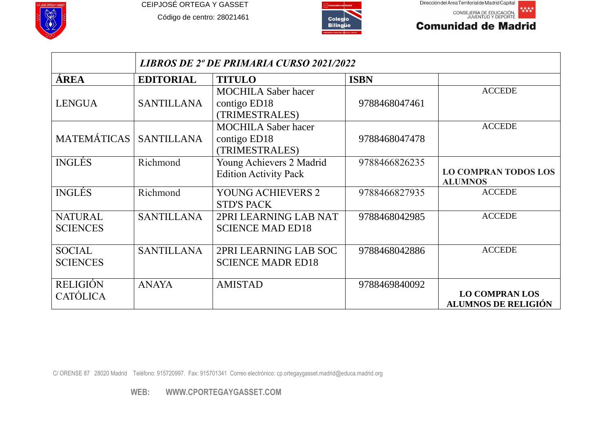



|                                    | LIBROS DE 2º DE PRIMARIA CURSO 2021/2022 |                                                              |               |                                                     |  |
|------------------------------------|------------------------------------------|--------------------------------------------------------------|---------------|-----------------------------------------------------|--|
| ÁREA                               | <b>EDITORIAL</b>                         | <b>TITULO</b>                                                | <b>ISBN</b>   |                                                     |  |
| <b>LENGUA</b>                      | <b>SANTILLANA</b>                        | <b>MOCHILA Saber hacer</b><br>contigo ED18<br>(TRIMESTRALES) | 9788468047461 | <b>ACCEDE</b>                                       |  |
| <b>MATEMÁTICAS</b>                 | <b>SANTILLANA</b>                        | <b>MOCHILA Saber hacer</b><br>contigo ED18<br>(TRIMESTRALES) | 9788468047478 | <b>ACCEDE</b>                                       |  |
| <b>INGLÉS</b>                      | Richmond                                 | Young Achievers 2 Madrid<br><b>Edition Activity Pack</b>     | 9788466826235 | <b>LO COMPRAN TODOS LOS</b><br><b>ALUMNOS</b>       |  |
| <b>INGLÉS</b>                      | Richmond                                 | YOUNG ACHIEVERS 2<br><b>STD'S PACK</b>                       | 9788466827935 | <b>ACCEDE</b>                                       |  |
| <b>NATURAL</b><br><b>SCIENCES</b>  | <b>SANTILLANA</b>                        | 2PRI LEARNING LAB NAT<br><b>SCIENCE MAD ED18</b>             | 9788468042985 | <b>ACCEDE</b>                                       |  |
| <b>SOCIAL</b><br><b>SCIENCES</b>   | <b>SANTILLANA</b>                        | 2PRI LEARNING LAB SOC<br><b>SCIENCE MADR ED18</b>            | 9788468042886 | <b>ACCEDE</b>                                       |  |
| <b>RELIGIÓN</b><br><b>CATÓLICA</b> | <b>ANAYA</b>                             | <b>AMISTAD</b>                                               | 9788469840092 | <b>LO COMPRAN LOS</b><br><b>ALUMNOS DE RELIGIÓN</b> |  |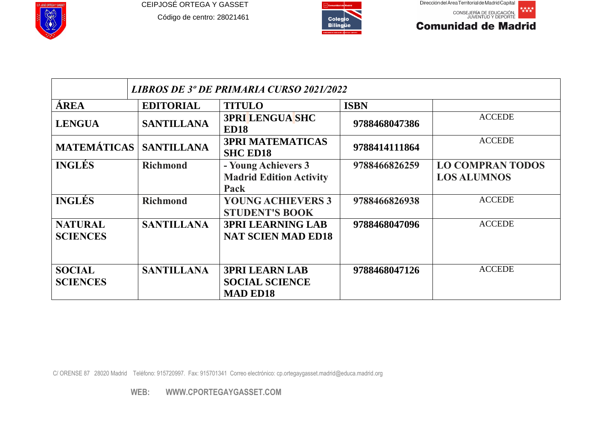



| LIBROS DE 3º DE PRIMARIA CURSO 2021/2022 |                   |                                            |               |                         |  |
|------------------------------------------|-------------------|--------------------------------------------|---------------|-------------------------|--|
| ÁREA                                     | <b>EDITORIAL</b>  | <b>TITULO</b>                              | <b>ISBN</b>   |                         |  |
| <b>LENGUA</b>                            | <b>SANTILLANA</b> | <b>3PRI LENGUA SHC</b><br><b>ED18</b>      | 9788468047386 | <b>ACCEDE</b>           |  |
| <b>MATEMÁTICAS SANTILLANA</b>            |                   | <b>3PRI MATEMATICAS</b><br><b>SHC ED18</b> | 9788414111864 | <b>ACCEDE</b>           |  |
| <b>INGLÉS</b>                            | <b>Richmond</b>   | - Young Achievers 3                        | 9788466826259 | <b>LO COMPRAN TODOS</b> |  |
|                                          |                   | <b>Madrid Edition Activity</b>             |               | <b>LOS ALUMNOS</b>      |  |
|                                          |                   | Pack                                       |               |                         |  |
| <b>INGLÉS</b>                            | <b>Richmond</b>   | <b>YOUNG ACHIEVERS 3</b>                   | 9788466826938 | <b>ACCEDE</b>           |  |
|                                          |                   | <b>STUDENT'S BOOK</b>                      |               |                         |  |
| <b>NATURAL</b>                           | <b>SANTILLANA</b> | <b>3PRI LEARNING LAB</b>                   | 9788468047096 | <b>ACCEDE</b>           |  |
| <b>SCIENCES</b>                          |                   | <b>NAT SCIEN MAD ED18</b>                  |               |                         |  |
|                                          |                   |                                            |               |                         |  |
| <b>SOCIAL</b>                            | <b>SANTILLANA</b> | <b>3PRI LEARN LAB</b>                      | 9788468047126 | <b>ACCEDE</b>           |  |
| <b>SCIENCES</b>                          |                   | <b>SOCIAL SCIENCE</b>                      |               |                         |  |
|                                          |                   | <b>MAD ED18</b>                            |               |                         |  |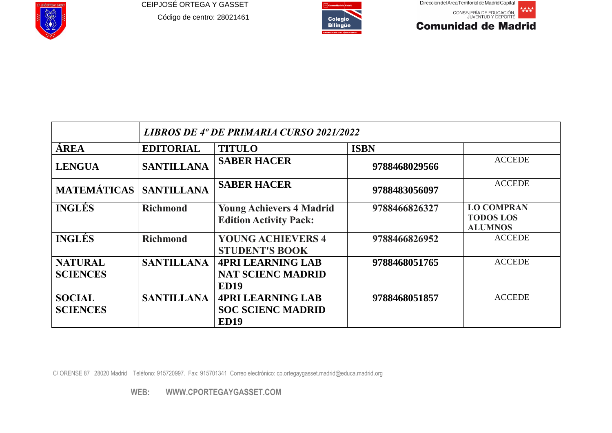





|                                   | LIBROS DE 4º DE PRIMARIA CURSO 2021/2022 |                                                                     |               |                                                         |  |
|-----------------------------------|------------------------------------------|---------------------------------------------------------------------|---------------|---------------------------------------------------------|--|
| ÁREA                              | <b>EDITORIAL</b>                         | <b>TITULO</b>                                                       | <b>ISBN</b>   |                                                         |  |
| <b>LENGUA</b>                     | <b>SANTILLANA</b>                        | <b>SABER HACER</b>                                                  | 9788468029566 | <b>ACCEDE</b>                                           |  |
| <b>MATEMÁTICAS</b>                | <b>SANTILLANA</b>                        | <b>SABER HACER</b>                                                  | 9788483056097 | <b>ACCEDE</b>                                           |  |
| <b>INGLÉS</b>                     | <b>Richmond</b>                          | <b>Young Achievers 4 Madrid</b><br><b>Edition Activity Pack:</b>    | 9788466826327 | <b>LO COMPRAN</b><br><b>TODOS LOS</b><br><b>ALUMNOS</b> |  |
| <b>INGLÉS</b>                     | <b>Richmond</b>                          | <b>YOUNG ACHIEVERS 4</b><br><b>STUDENT'S BOOK</b>                   | 9788466826952 | <b>ACCEDE</b>                                           |  |
| <b>NATURAL</b><br><b>SCIENCES</b> | <b>SANTILLANA</b>                        | <b>4PRI LEARNING LAB</b><br><b>NAT SCIENC MADRID</b><br><b>ED19</b> | 9788468051765 | <b>ACCEDE</b>                                           |  |
| <b>SOCIAL</b><br><b>SCIENCES</b>  | <b>SANTILLANA</b>                        | <b>4PRI LEARNING LAB</b><br><b>SOC SCIENC MADRID</b><br><b>ED19</b> | 9788468051857 | <b>ACCEDE</b>                                           |  |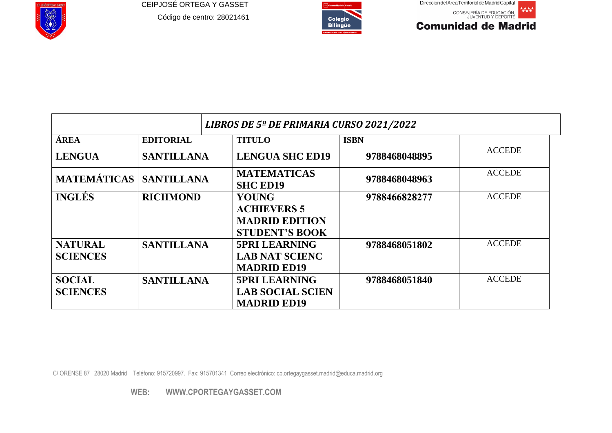



|                          |                   | LIBROS DE 5º DE PRIMARIA CURSO 2021/2022 |               |               |
|--------------------------|-------------------|------------------------------------------|---------------|---------------|
| ÁREA                     | <b>EDITORIAL</b>  | <b>TITULO</b>                            | <b>ISBN</b>   |               |
| <b>LENGUA</b>            | <b>SANTILLANA</b> | <b>LENGUA SHC ED19</b>                   | 9788468048895 | <b>ACCEDE</b> |
| MATEMÁTICAS   SANTILLANA |                   | <b>MATEMATICAS</b><br><b>SHC ED19</b>    | 9788468048963 | <b>ACCEDE</b> |
| <b>INGLÉS</b>            | <b>RICHMOND</b>   | <b>YOUNG</b>                             | 9788466828277 | <b>ACCEDE</b> |
|                          |                   | <b>ACHIEVERS 5</b>                       |               |               |
|                          |                   | <b>MADRID EDITION</b>                    |               |               |
|                          |                   | <b>STUDENT'S BOOK</b>                    |               |               |
| <b>NATURAL</b>           | <b>SANTILLANA</b> | <b>5PRI LEARNING</b>                     | 9788468051802 | <b>ACCEDE</b> |
| <b>SCIENCES</b>          |                   | <b>LAB NAT SCIENC</b>                    |               |               |
|                          |                   | <b>MADRID ED19</b>                       |               |               |
| <b>SOCIAL</b>            | <b>SANTILLANA</b> | <b>5PRI LEARNING</b>                     | 9788468051840 | <b>ACCEDE</b> |
| <b>SCIENCES</b>          |                   | <b>LAB SOCIAL SCIEN</b>                  |               |               |
|                          |                   | <b>MADRID ED19</b>                       |               |               |